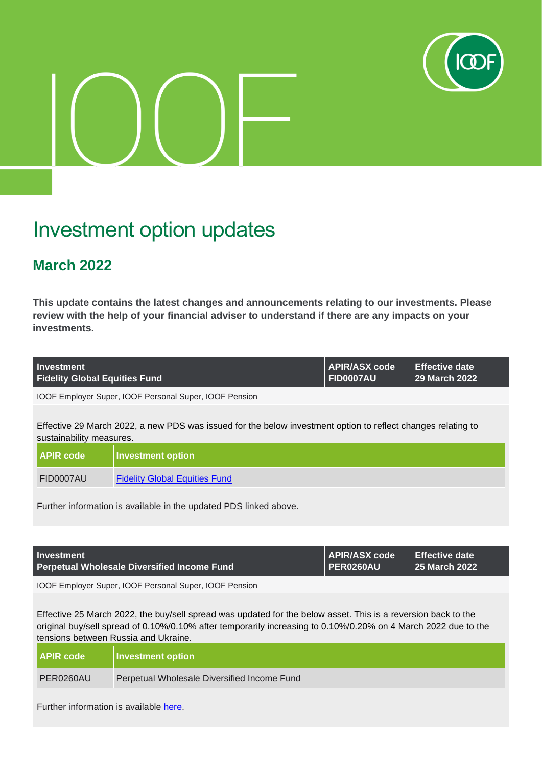

# Investment option updates

## **March 2022**

**This update contains the latest changes and announcements relating to our investments. Please review with the help of your financial adviser to understand if there are any impacts on your investments.**

| Investment                           | APIR/ASX code | $\parallel$ Effective date |
|--------------------------------------|---------------|----------------------------|
| <b>Fidelity Global Equities Fund</b> | FID0007AU     | 29 March 2022              |

IOOF Employer Super, IOOF Personal Super, IOOF Pension

Effective 29 March 2022, a new PDS was issued for the below investment option to reflect changes relating to sustainability measures.

| <b>APIR code</b> | <b>Investment option</b>             |
|------------------|--------------------------------------|
| FID0007AU        | <b>Fidelity Global Equities Fund</b> |

Further information is available in the updated PDS linked above.

| <b>Investment</b>                           | <b>APIR/ASX code</b>               | $\vert$ Effective date |
|---------------------------------------------|------------------------------------|------------------------|
| Perpetual Wholesale Diversified Income Fund | $\overline{\phantom{a}}$ PER0260AU | 25 March 2022          |

IOOF Employer Super, IOOF Personal Super, IOOF Pension

Effective 25 March 2022, the buy/sell spread was updated for the below asset. This is a reversion back to the original buy/sell spread of 0.10%/0.10% after temporarily increasing to 0.10%/0.20% on 4 March 2022 due to the tensions between Russia and Ukraine.

| <b>APIR code</b> | <b>Investment option</b>                    |
|------------------|---------------------------------------------|
| PER0260AU        | Perpetual Wholesale Diversified Income Fund |

Further information is available [here.](https://microsite.ioof.com.au/__data/assets/pdf_file/0007/446938/2022-03-25-Perpetual-Wholesale-buy-sell-spread-decrease.pdf)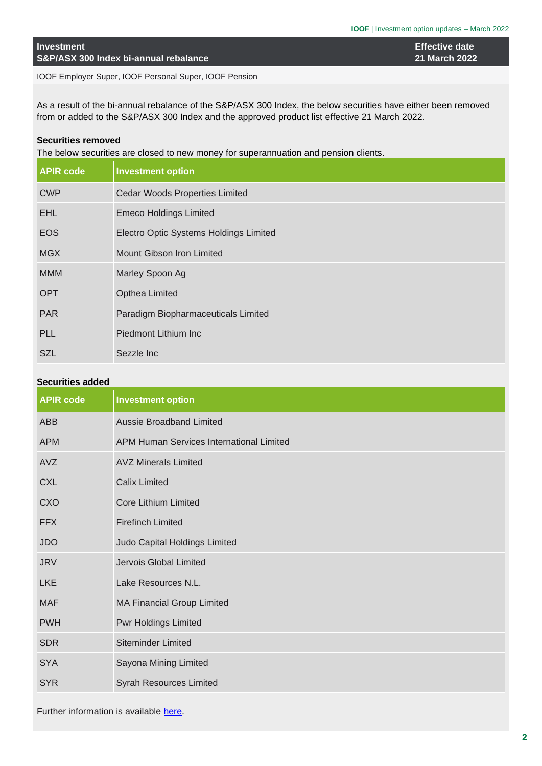**Effective date 21 March 2022**

IOOF Employer Super, IOOF Personal Super, IOOF Pension

As a result of the bi-annual rebalance of the S&P/ASX 300 Index, the below securities have either been removed from or added to the S&P/ASX 300 Index and the approved product list effective 21 March 2022.

#### **Securities removed**

The below securities are closed to new money for superannuation and pension clients.

| <b>APIR code</b> | <b>Investment option</b>               |
|------------------|----------------------------------------|
| <b>CWP</b>       | <b>Cedar Woods Properties Limited</b>  |
| <b>EHL</b>       | <b>Emeco Holdings Limited</b>          |
| <b>EOS</b>       | Electro Optic Systems Holdings Limited |
| <b>MGX</b>       | Mount Gibson Iron Limited              |
| <b>MMM</b>       | Marley Spoon Ag                        |
| <b>OPT</b>       | Opthea Limited                         |
| <b>PAR</b>       | Paradigm Biopharmaceuticals Limited    |
| <b>PLL</b>       | Piedmont Lithium Inc                   |
| <b>SZL</b>       | Sezzle Inc                             |

### **Securities added**

| <b>APIR code</b> | <b>Investment option</b>                 |
|------------------|------------------------------------------|
| <b>ABB</b>       | <b>Aussie Broadband Limited</b>          |
| <b>APM</b>       | APM Human Services International Limited |
| AVZ              | <b>AVZ Minerals Limited</b>              |
| <b>CXL</b>       | <b>Calix Limited</b>                     |
| <b>CXO</b>       | <b>Core Lithium Limited</b>              |
| <b>FFX</b>       | <b>Firefinch Limited</b>                 |
| <b>JDO</b>       | Judo Capital Holdings Limited            |
| <b>JRV</b>       | Jervois Global Limited                   |
| <b>LKE</b>       | Lake Resources N.L.                      |
| <b>MAF</b>       | <b>MA Financial Group Limited</b>        |
| <b>PWH</b>       | <b>Pwr Holdings Limited</b>              |
| <b>SDR</b>       | <b>Siteminder Limited</b>                |
| <b>SYA</b>       | Sayona Mining Limited                    |
| <b>SYR</b>       | <b>Syrah Resources Limited</b>           |

Further information is available [here.](https://microsite.ioof.com.au/__data/assets/pdf_file/0006/446937/2022-03-21-March-22-Rebalance.pdf)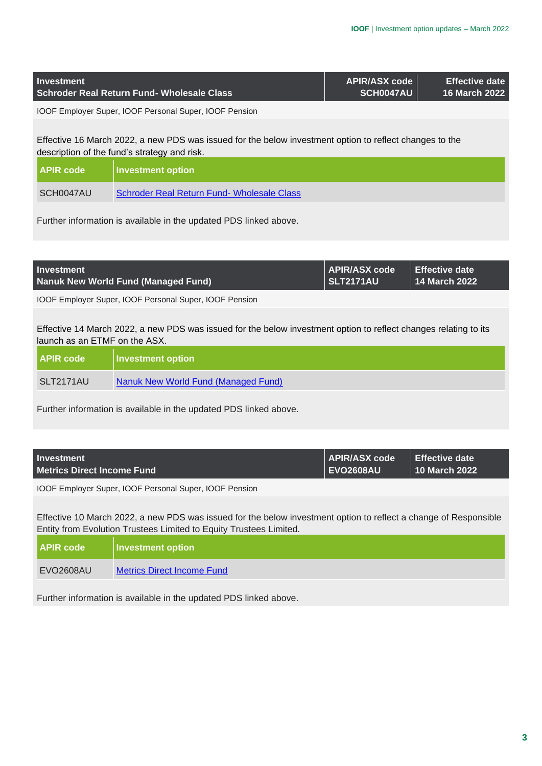| <b>Investment</b>             | Schroder Real Return Fund- Wholesale Class                                                                                                              | <b>APIR/ASX code</b><br>SCH0047AU        | <b>Effective date</b><br>16 March 2022 |
|-------------------------------|---------------------------------------------------------------------------------------------------------------------------------------------------------|------------------------------------------|----------------------------------------|
|                               | IOOF Employer Super, IOOF Personal Super, IOOF Pension                                                                                                  |                                          |                                        |
|                               | Effective 16 March 2022, a new PDS was issued for the below investment option to reflect changes to the<br>description of the fund's strategy and risk. |                                          |                                        |
| <b>APIR code</b>              | <b>Investment option</b>                                                                                                                                |                                          |                                        |
| SCH0047AU                     | Schroder Real Return Fund- Wholesale Class                                                                                                              |                                          |                                        |
|                               | Further information is available in the updated PDS linked above.                                                                                       |                                          |                                        |
|                               |                                                                                                                                                         |                                          |                                        |
| <b>Investment</b>             | <b>Nanuk New World Fund (Managed Fund)</b>                                                                                                              | <b>APIR/ASX code</b><br><b>SLT2171AU</b> | <b>Effective date</b><br>14 March 2022 |
|                               | IOOF Employer Super, IOOF Personal Super, IOOF Pension                                                                                                  |                                          |                                        |
| launch as an ETMF on the ASX. | Effective 14 March 2022, a new PDS was issued for the below investment option to reflect changes relating to its                                        |                                          |                                        |
| <b>APIR code</b>              | <b>Investment option</b>                                                                                                                                |                                          |                                        |
| <b>SLT2171AU</b>              | <b>Nanuk New World Fund (Managed Fund)</b>                                                                                                              |                                          |                                        |
|                               | Further information is available in the updated PDS linked above.                                                                                       |                                          |                                        |
|                               |                                                                                                                                                         |                                          |                                        |
| Investment                    |                                                                                                                                                         | APIR/ASY code                            | <b>Effective date</b>                  |

| <b>Investment</b>                 | APIR/ASX code    | <b>I</b> Effective date I |
|-----------------------------------|------------------|---------------------------|
| <b>Metrics Direct Income Fund</b> | <b>EVO2608AU</b> | ∣ 10 March 2022           |
|                                   |                  |                           |

IOOF Employer Super, IOOF Personal Super, IOOF Pension

Effective 10 March 2022, a new PDS was issued for the below investment option to reflect a change of Responsible Entity from Evolution Trustees Limited to Equity Trustees Limited.

| <b>APIR code</b> | <b>Investment option</b>   |
|------------------|----------------------------|
| EVO2608AU        | Metrics Direct Income Fund |

Further information is available in the updated PDS linked above.